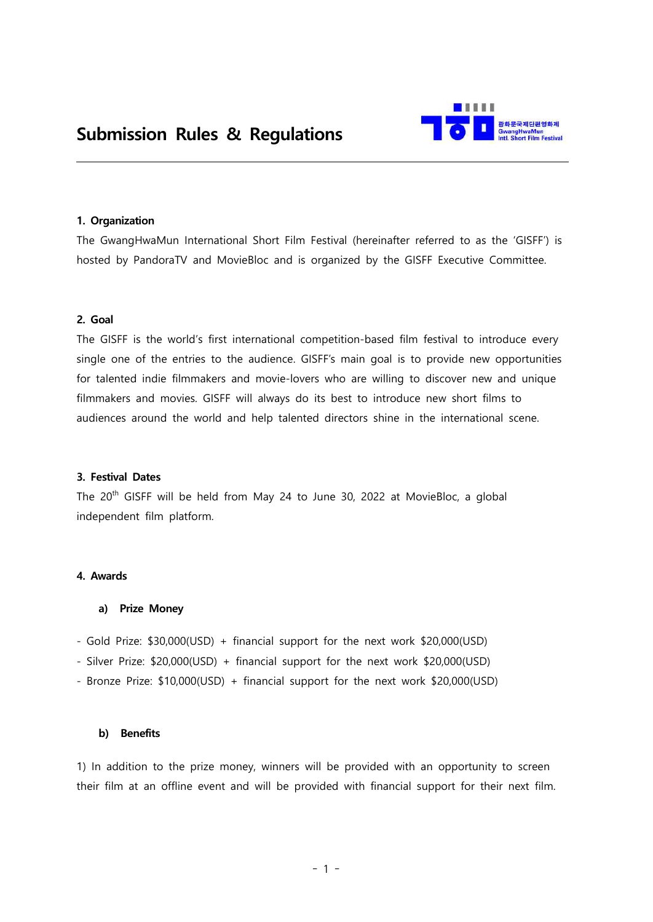

## **1. Organization**

The GwangHwaMun International Short Film Festival (hereinafter referred to as the 'GISFF') is hosted by PandoraTV and MovieBloc and is organized by the GISFF Executive Committee.

## **2. Goal**

The GISFF is the world's first international competition-based film festival to introduce every single one of the entries to the audience. GISFF's main goal is to provide new opportunities for talented indie filmmakers and movie-lovers who are willing to discover new and unique filmmakers and movies. GISFF will always do its best to introduce new short films to audiences around the world and help talented directors shine in the international scene.

## **3. Festival Dates**

The 20<sup>th</sup> GISFF will be held from May 24 to June 30, 2022 at MovieBloc, a global independent film platform.

# **4. Awards**

## **a) Prize Money**

- Gold Prize: \$30,000(USD) + financial support for the next work \$20,000(USD)
- Silver Prize: \$20,000(USD) + financial support for the next work \$20,000(USD)
- Bronze Prize: \$10,000(USD) + financial support for the next work \$20,000(USD)

## **b) Benefits**

1) In addition to the prize money, winners will be provided with an opportunity to screen their film at an offline event and will be provided with financial support for their next film.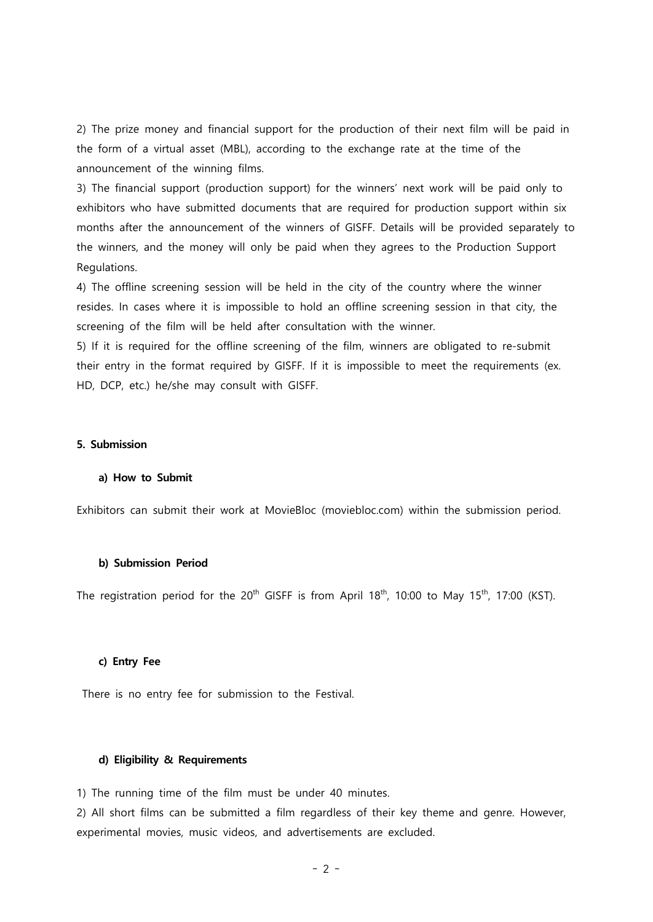2) The prize money and financial support for the production of their next film will be paid in the form of a virtual asset (MBL), according to the exchange rate at the time of the announcement of the winning films.

3) The financial support (production support) for the winners' next work will be paid only to exhibitors who have submitted documents that are required for production support within six months after the announcement of the winners of GISFF. Details will be provided separately to the winners, and the money will only be paid when they agrees to the Production Support Regulations.

4) The offline screening session will be held in the city of the country where the winner resides. In cases where it is impossible to hold an offline screening session in that city, the screening of the film will be held after consultation with the winner.

5) If it is required for the offline screening of the film, winners are obligated to re-submit their entry in the format required by GISFF. If it is impossible to meet the requirements (ex. HD, DCP, etc.) he/she may consult with GISFF.

## **5. Submission**

#### **a) How to Submit**

Exhibitors can submit their work at MovieBloc (moviebloc.com) within the submission period.

## **b) Submission Period**

The registration period for the 20<sup>th</sup> GISFF is from April 18<sup>th</sup>, 10:00 to May 15<sup>th</sup>, 17:00 (KST).

### **c) Entry Fee**

There is no entry fee for submission to the Festival.

#### **d) Eligibility & Requirements**

1) The running time of the film must be under 40 minutes.

2) All short films can be submitted a film regardless of their key theme and genre. However, experimental movies, music videos, and advertisements are excluded.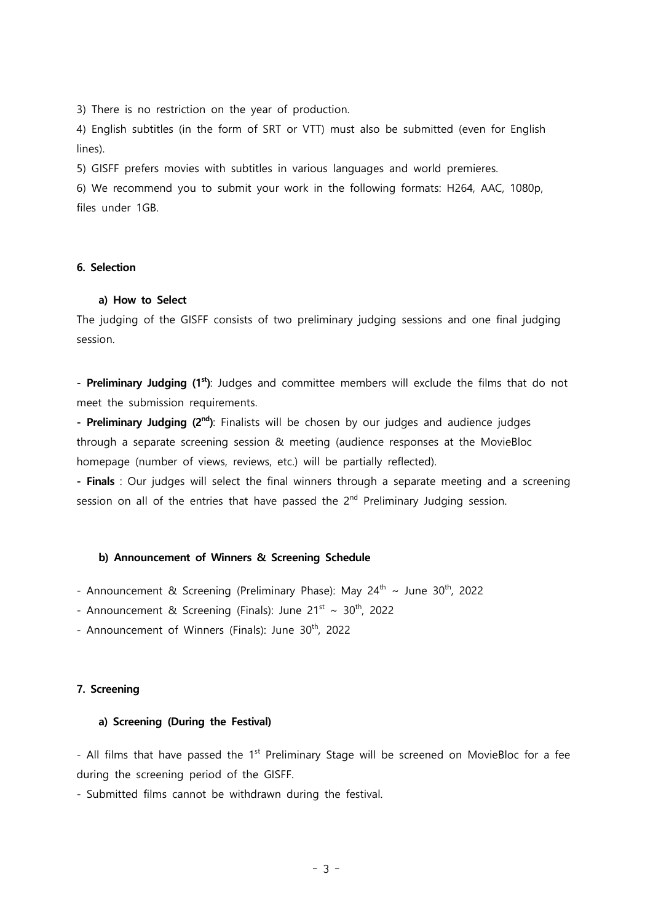3) There is no restriction on the year of production.

4) English subtitles (in the form of SRT or VTT) must also be submitted (even for English lines).

5) GISFF prefers movies with subtitles in various languages and world premieres.

6) We recommend you to submit your work in the following formats: H264, AAC, 1080p, files under 1GB.

# **6. Selection**

### **a) How to Select**

The judging of the GISFF consists of two preliminary judging sessions and one final judging session.

**- Preliminary Judging (1st)**: Judges and committee members will exclude the films that do not meet the submission requirements.

**- Preliminary Judging (2nd)**: Finalists will be chosen by our judges and audience judges through a separate screening session & meeting (audience responses at the MovieBloc homepage (number of views, reviews, etc.) will be partially reflected).

**- Finals** : Our judges will select the final winners through a separate meeting and a screening session on all of the entries that have passed the 2<sup>nd</sup> Preliminary Judging session.

## **b) Announcement of Winners & Screening Schedule**

- Announcement & Screening (Preliminary Phase): May 24<sup>th</sup> ~ June 30<sup>th</sup>, 2022

- Announcement & Screening (Finals): June 21 $\rm ^{st}$  ~ 30 $\rm ^{th}$ , 2022

- Announcement of Winners (Finals): June 30<sup>th</sup>, 2022

## **7. Screening**

### **a) Screening (During the Festival)**

- All films that have passed the 1<sup>st</sup> Preliminary Stage will be screened on MovieBloc for a fee during the screening period of the GISFF. - Submitted films cannot be withdrawn during the festival.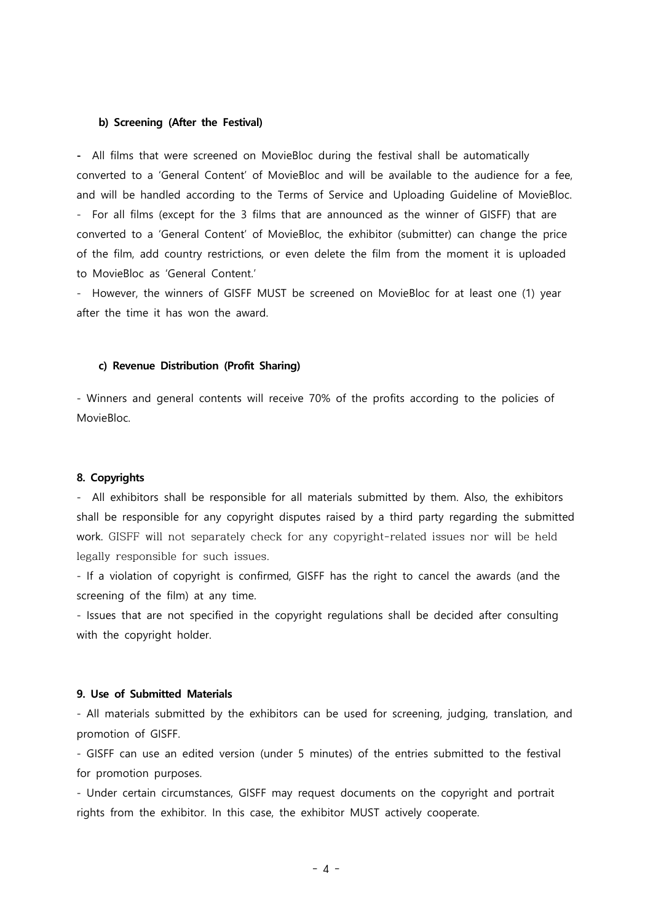#### **b) Screening (After the Festival)**

**-** All films that were screened on MovieBloc during the festival shall be automatically converted to a 'General Content' of MovieBloc and will be available to the audience for a fee, and will be handled according to the Terms of Service and Uploading Guideline of MovieBloc.<br>- For all films (except for the 3 films that are announced as the winner of GISFF) that are converted to a 'General Content' of MovieBloc, the exhibitor (submitter) can change the price of the film, add country restrictions, or even delete the film from the moment it is uploaded to MovieBloc as 'General Content.'

- However, the winners of GISFF MUST be screened on MovieBloc for at least one (1) year after the time it has won the award.

### **c) Revenue Distribution (Profit Sharing)**

- Winners and general contents will receive 70% of the profits according to the policies of MovieBloc.

### **8. Copyrights**

- All exhibitors shall be responsible for all materials submitted by them. Also, the exhibitors shall be responsible for any copyright disputes raised by a third party regarding the submitted work. GISFF will not separately check for any copyright-related issues nor will be held legally responsible for such issues.

- If a violation of copyright is confirmed, GISFF has the right to cancel the awards (and the screening of the film) at any time.

- Issues that are not specified in the copyright regulations shall be decided after consulting with the copyright holder.

## **9. Use of Submitted Materials**

- All materials submitted by the exhibitors can be used for screening, judging, translation, and promotion of GISFF.

- GISFF can use an edited version (under 5 minutes) of the entries submitted to the festival for promotion purposes.

- Under certain circumstances, GISFF may request documents on the copyright and portrait rights from the exhibitor. In this case, the exhibitor MUST actively cooperate.